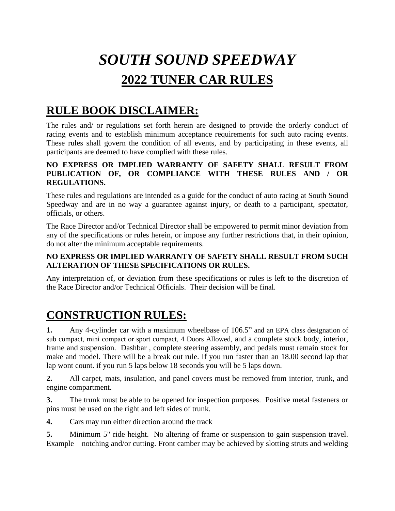# *SOUTH SOUND SPEEDWAY*  **2022 TUNER CAR RULES**

# **RULE BOOK DISCLAIMER:**

The rules and/ or regulations set forth herein are designed to provide the orderly conduct of racing events and to establish minimum acceptance requirements for such auto racing events. These rules shall govern the condition of all events, and by participating in these events, all participants are deemed to have complied with these rules.

#### **NO EXPRESS OR IMPLIED WARRANTY OF SAFETY SHALL RESULT FROM PUBLICATION OF, OR COMPLIANCE WITH THESE RULES AND / OR REGULATIONS.**

These rules and regulations are intended as a guide for the conduct of auto racing at South Sound Speedway and are in no way a guarantee against injury, or death to a participant, spectator, officials, or others.

The Race Director and/or Technical Director shall be empowered to permit minor deviation from any of the specifications or rules herein, or impose any further restrictions that, in their opinion, do not alter the minimum acceptable requirements.

#### **NO EXPRESS OR IMPLIED WARRANTY OF SAFETY SHALL RESULT FROM SUCH ALTERATION OF THESE SPECIFICATIONS OR RULES.**

Any interpretation of, or deviation from these specifications or rules is left to the discretion of the Race Director and/or Technical Officials. Their decision will be final.

# **CONSTRUCTION RULES:**

**1.** Any 4-cylinder car with a maximum wheelbase of 106.5" and an EPA class designation of sub compact, mini compact or sport compact, 4 Doors Allowed, and a complete stock body, interior, frame and suspension. Dashbar , complete steering assembly, and pedals must remain stock for make and model. There will be a break out rule. If you run faster than an 18.00 second lap that lap wont count. if you run 5 laps below 18 seconds you will be 5 laps down.

**2.** All carpet, mats, insulation, and panel covers must be removed from interior, trunk, and engine compartment.

**3.** The trunk must be able to be opened for inspection purposes. Positive metal fasteners or pins must be used on the right and left sides of trunk.

**4.** Cars may run either direction around the track

**5.** Minimum 5" ride height. No altering of frame or suspension to gain suspension travel. Example – notching and/or cutting. Front camber may be achieved by slotting struts and welding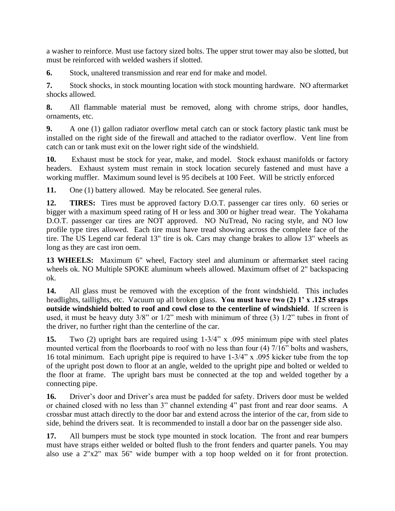a washer to reinforce. Must use factory sized bolts. The upper strut tower may also be slotted, but must be reinforced with welded washers if slotted.

**6.** Stock, unaltered transmission and rear end for make and model.

**7.** Stock shocks, in stock mounting location with stock mounting hardware. NO aftermarket shocks allowed.

**8.** All flammable material must be removed, along with chrome strips, door handles, ornaments, etc.

**9.** A one (1) gallon radiator overflow metal catch can or stock factory plastic tank must be installed on the right side of the firewall and attached to the radiator overflow. Vent line from catch can or tank must exit on the lower right side of the windshield.

**10.** Exhaust must be stock for year, make, and model. Stock exhaust manifolds or factory headers. Exhaust system must remain in stock location securely fastened and must have a working muffler. Maximum sound level is 95 decibels at 100 Feet. Will be strictly enforced

11. One (1) battery allowed. May be relocated. See general rules.

**12. TIRES:** Tires must be approved factory D.O.T. passenger car tires only. 60 series or bigger with a maximum speed rating of H or less and 300 or higher tread wear. The Yokahama D.O.T. passenger car tires are NOT approved. NO NuTread, No racing style, and NO low profile type tires allowed. Each tire must have tread showing across the complete face of the tire. The US Legend car federal 13" tire is ok. Cars may change brakes to allow 13" wheels as long as they are cast iron oem.

**13 WHEELS:** Maximum 6" wheel, Factory steel and aluminum or aftermarket steel racing wheels ok. NO Multiple SPOKE aluminum wheels allowed. Maximum offset of 2" backspacing ok.

**14.** All glass must be removed with the exception of the front windshield. This includes headlights, taillights, etc. Vacuum up all broken glass. **You must have two (2) 1' x .125 straps outside windshield bolted to roof and cowl close to the centerline of windshield**. If screen is used, it must be heavy duty  $3/8$ " or  $1/2$ " mesh with minimum of three (3)  $1/2$ " tubes in front of the driver, no further right than the centerline of the car.

**15.** Two (2) upright bars are required using 1-3/4" x .095 minimum pipe with steel plates mounted vertical from the floorboards to roof with no less than four (4) 7/16" bolts and washers, 16 total minimum. Each upright pipe is required to have 1-3/4" x .095 kicker tube from the top of the upright post down to floor at an angle, welded to the upright pipe and bolted or welded to the floor at frame. The upright bars must be connected at the top and welded together by a connecting pipe.

**16.** Driver's door and Driver's area must be padded for safety. Drivers door must be welded or chained closed with no less than 3" channel extending 4" past front and rear door seams. A crossbar must attach directly to the door bar and extend across the interior of the car, from side to side, behind the drivers seat. It is recommended to install a door bar on the passenger side also.

**17.** All bumpers must be stock type mounted in stock location. The front and rear bumpers must have straps either welded or bolted flush to the front fenders and quarter panels. You may also use a 2"x2" max 56" wide bumper with a top hoop welded on it for front protection.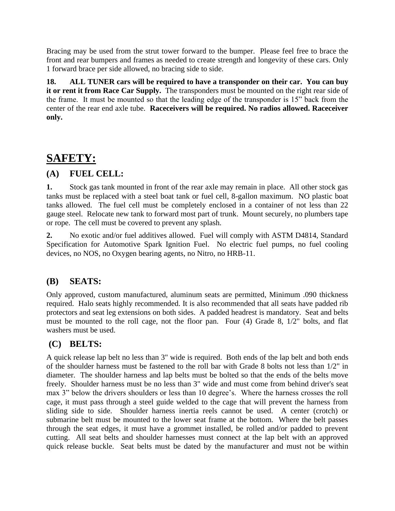Bracing may be used from the strut tower forward to the bumper. Please feel free to brace the front and rear bumpers and frames as needed to create strength and longevity of these cars. Only 1 forward brace per side allowed, no bracing side to side.

**18. ALL TUNER cars will be required to have a transponder on their car. You can buy it or rent it from Race Car Supply.** The transponders must be mounted on the right rear side of the frame. It must be mounted so that the leading edge of the transponder is 15" back from the center of the rear end axle tube. **Raceceivers will be required. No radios allowed. Raceceiver only.**

# **SAFETY:**

### **(A) FUEL CELL:**

**1.** Stock gas tank mounted in front of the rear axle may remain in place. All other stock gas tanks must be replaced with a steel boat tank or fuel cell, 8-gallon maximum. NO plastic boat tanks allowed. The fuel cell must be completely enclosed in a container of not less than 22 gauge steel. Relocate new tank to forward most part of trunk. Mount securely, no plumbers tape or rope. The cell must be covered to prevent any splash.

**2.** No exotic and/or fuel additives allowed. Fuel will comply with ASTM D4814, Standard Specification for Automotive Spark Ignition Fuel. No electric fuel pumps, no fuel cooling devices, no NOS, no Oxygen bearing agents, no Nitro, no HRB-11.

### **(B) SEATS:**

Only approved, custom manufactured, aluminum seats are permitted, Minimum .090 thickness required. Halo seats highly recommended. It is also recommended that all seats have padded rib protectors and seat leg extensions on both sides. A padded headrest is mandatory. Seat and belts must be mounted to the roll cage, not the floor pan. Four (4) Grade 8, 1/2" bolts, and flat washers must be used.

### **(C) BELTS:**

A quick release lap belt no less than 3" wide is required. Both ends of the lap belt and both ends of the shoulder harness must be fastened to the roll bar with Grade 8 bolts not less than 1/2" in diameter. The shoulder harness and lap belts must be bolted so that the ends of the belts move freely. Shoulder harness must be no less than 3" wide and must come from behind driver's seat max 3" below the drivers shoulders or less than 10 degree's. Where the harness crosses the roll cage, it must pass through a steel guide welded to the cage that will prevent the harness from sliding side to side. Shoulder harness inertia reels cannot be used. A center (crotch) or submarine belt must be mounted to the lower seat frame at the bottom. Where the belt passes through the seat edges, it must have a grommet installed, be rolled and/or padded to prevent cutting. All seat belts and shoulder harnesses must connect at the lap belt with an approved quick release buckle. Seat belts must be dated by the manufacturer and must not be within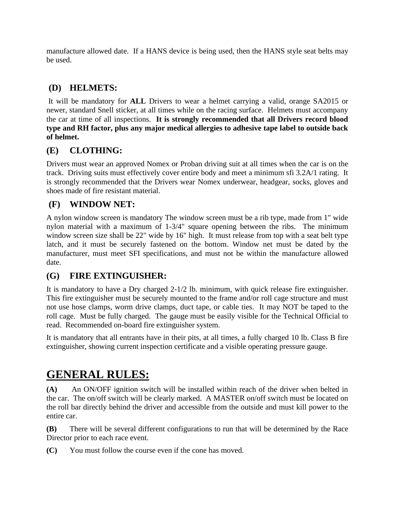manufacture allowed date. If a HANS device is being used, then the HANS style seat belts may be used.

## **(D) HELMETS:**

It will be mandatory for **ALL** Drivers to wear a helmet carrying a valid, orange SA2015 or newer, standard Snell sticker, at all times while on the racing surface. Helmets must accompany the car at time of all inspections. **It is strongly recommended that all Drivers record blood type and RH factor, plus any major medical allergies to adhesive tape label to outside back of helmet.** 

### **(E) CLOTHING:**

Drivers must wear an approved Nomex or Proban driving suit at all times when the car is on the track. Driving suits must effectively cover entire body and meet a minimum sfi 3.2A/1 rating. It is strongly recommended that the Drivers wear Nomex underwear, headgear, socks, gloves and shoes made of fire resistant material.

### **(F) WINDOW NET:**

A nylon window screen is mandatory The window screen must be a rib type, made from 1" wide nylon material with a maximum of 1-3/4" square opening between the ribs. The minimum window screen size shall be 22" wide by 16" high. It must release from top with a seat belt type latch, and it must be securely fastened on the bottom. Window net must be dated by the manufacturer, must meet SFI specifications, and must not be within the manufacture allowed date.

### **(G) FIRE EXTINGUISHER:**

It is mandatory to have a Dry charged 2-1/2 lb. minimum, with quick release fire extinguisher. This fire extinguisher must be securely mounted to the frame and/or roll cage structure and must not use hose clamps, worm drive clamps, duct tape, or cable ties. It may NOT be taped to the roll cage. Must be fully charged. The gauge must be easily visible for the Technical Official to read. Recommended on-board fire extinguisher system.

It is mandatory that all entrants have in their pits, at all times, a fully charged 10 lb. Class B fire extinguisher, showing current inspection certificate and a visible operating pressure gauge.

# **GENERAL RULES:**

**(A)** An ON/OFF ignition switch will be installed within reach of the driver when belted in the car. The on/off switch will be clearly marked. A MASTER on/off switch must be located on the roll bar directly behind the driver and accessible from the outside and must kill power to the entire car.

**(B)** There will be several different configurations to run that will be determined by the Race Director prior to each race event.

**(C)** You must follow the course even if the cone has moved.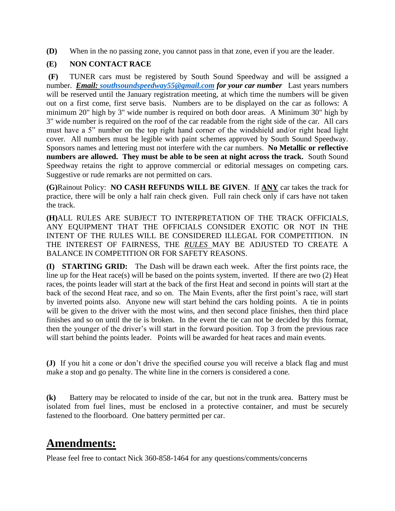**(D)** When in the no passing zone, you cannot pass in that zone, even if you are the leader.

#### **(E) NON CONTACT RACE**

**(F)** TUNER cars must be registered by South Sound Speedway and will be assigned a number. *Email: [southsoundspeedway55@gmail.com](mailto:southsoundspeedway55@gmail.com) for your car number* Last years numbers will be reserved until the January registration meeting, at which time the numbers will be given out on a first come, first serve basis. Numbers are to be displayed on the car as follows: A minimum 20" high by 3" wide number is required on both door areas. A Minimum 30" high by 3" wide number is required on the roof of the car readable from the right side of the car. All cars must have a 5" number on the top right hand corner of the windshield and/or right head light cover. All numbers must be legible with paint schemes approved by South Sound Speedway. Sponsors names and lettering must not interfere with the car numbers. **No Metallic or reflective numbers are allowed. They must be able to be seen at night across the track.** South Sound Speedway retains the right to approve commercial or editorial messages on competing cars. Suggestive or rude remarks are not permitted on cars.

**(G)**Rainout Policy: **NO CASH REFUNDS WILL BE GIVEN**. If **ANY** car takes the track for practice, there will be only a half rain check given. Full rain check only if cars have not taken the track.

**(H)**ALL RULES ARE SUBJECT TO INTERPRETATION OF THE TRACK OFFICIALS, ANY EQUIPMENT THAT THE OFFICIALS CONSIDER EXOTIC OR NOT IN THE INTENT OF THE RULES WILL BE CONSIDERED ILLEGAL FOR COMPETITION. IN THE INTEREST OF FAIRNESS, THE *RULES* MAY BE ADJUSTED TO CREATE A BALANCE IN COMPETITION OR FOR SAFETY REASONS.

**(I) STARTING GRID:** The Dash will be drawn each week. After the first points race, the line up for the Heat race(s) will be based on the points system, inverted. If there are two (2) Heat races, the points leader will start at the back of the first Heat and second in points will start at the back of the second Heat race, and so on. The Main Events, after the first point's race, will start by inverted points also. Anyone new will start behind the cars holding points. A tie in points will be given to the driver with the most wins, and then second place finishes, then third place finishes and so on until the tie is broken. In the event the tie can not be decided by this format, then the younger of the driver's will start in the forward position. Top 3 from the previous race will start behind the points leader. Points will be awarded for heat races and main events.

**(J)** If you hit a cone or don't drive the specified course you will receive a black flag and must make a stop and go penalty. The white line in the corners is considered a cone.

**(k)** Battery may be relocated to inside of the car, but not in the trunk area. Battery must be isolated from fuel lines, must be enclosed in a protective container, and must be securely fastened to the floorboard. One battery permitted per car.

# **Amendments:**

Please feel free to contact Nick 360-858-1464 for any questions/comments/concerns